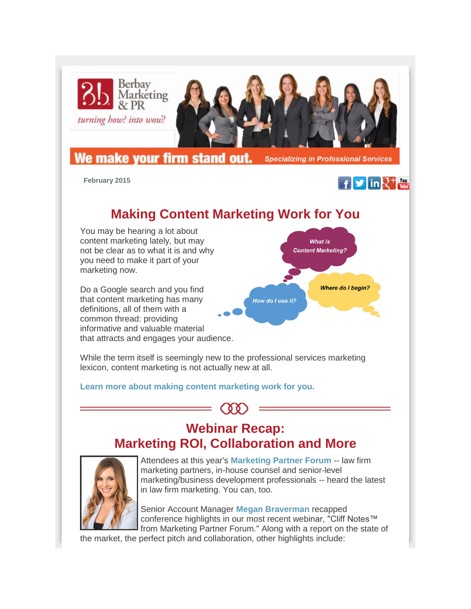

 **February 2015**



# **Making Content Marketing Work for You**

You may be hearing a lot about content marketing lately, but may not be clear as to what it is and why you need to make it part of your marketing now.

Do a Google search and you find that content marketing has many definitions, all of them with a common thread: providing informative and valuable material that attracts and engages your audience.



While the term itself is seemingly new to the professional services marketing lexicon, content marketing is not actually new at all.

### **[Learn more about making content marketing work for you.](http://r20.rs6.net/tn.jsp?e=001jqgYNcxrotwA0YKYOs23Yc2qPVZ76W85NvUg6wLdjZuznkm8MzJ-HMcBKvEL_MW5nRahyyYFqmUeFxvyhrXNaAgm3qCaO-rTnRW-TTAKenVQM6I1BPBWmTGgZXGCXpl31r3C1jVkr9Sgv6e6mt4mCwNxfrz_CXGvU_tgHtAEWA9w_ONJ_NZ5oA==)**

## **Webinar Recap: Marketing ROI, Collaboration and More**



Attendees at this year's **[Marketing Partner Forum](http://r20.rs6.net/tn.jsp?e=001jqgYNcxrotwA0YKYOs23Yc2qPVZ76W85NvUg6wLdjZuznkm8MzJ-HMcBKvEL_MW5nj9_hzmYDVreURhAPw6ketk-nag2X6PEDiw6n8ttJUAD8FPkKtTP792vQZe4wF2TiSaIpi6pMAEGQuib0nQ8njybRAw2BATwHUqwJ5bS7cdXPlu2hvnkDcCQSJQdM74xTt8zKpWRYwg=)** -- law firm marketing partners, in-house counsel and senior-level marketing/business development professionals -- heard the latest in law firm marketing. You can, too.

Senior Account Manager **[Megan Braverman](http://r20.rs6.net/tn.jsp?e=001jqgYNcxrotwA0YKYOs23Yc2qPVZ76W85NvUg6wLdjZuznkm8MzJ-HMcBKvEL_MW5nj9_hzmYDVq44dNF5Chc0PgcVVNfPMmfwog9xci49GFVtK2g_q-Kb1_aprvo7bMB7k2-jqhtN6xSJQPJUcj3--kTQwgmU1qZ)** recapped conference highlights in our most recent webinar, "Cliff Notes™ from Marketing Partner Forum." Along with a report on the state of

the market, the perfect pitch and collaboration, other highlights include: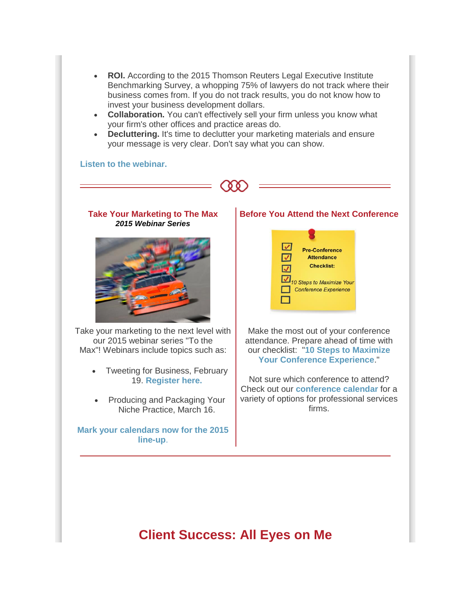- **ROI.** According to the 2015 Thomson Reuters Legal Executive Institute Benchmarking Survey, a whopping 75% of lawyers do not track where their business comes from. If you do not track results, you do not know how to invest your business development dollars.
- **Collaboration.** You can't effectively sell your firm unless you know what your firm's other offices and practice areas do.
- **Decluttering.** It's time to declutter your marketing materials and ensure your message is very clear. Don't say what you can show.

#### **[Listen to the webinar.](http://r20.rs6.net/tn.jsp?e=001jqgYNcxrotwA0YKYOs23Yc2qPVZ76W85NvUg6wLdjZuznkm8MzJ-HMcBKvEL_MW5nj9_hzmYDVq44dNF5Chc0PgcVVNfPMmffwEe_VRrGT7XYoc2GJJgicFEHPF9X9lSvq_DYb4tWsY=)**





Take your marketing to the next level with our 2015 webinar series "To the Max"! Webinars include topics such as:

- Tweeting for Business, February 19. **[Register here.](http://r20.rs6.net/tn.jsp?e=001jqgYNcxrotwA0YKYOs23Yc2qPVZ76W85NvUg6wLdjZuznkm8MzJ-HMcBKvEL_MW5nRahyyYFqmVruhtlc33rivM9YcDoOR1rrdr0b5VArPzQeepKq59YTqLAbe8PH0I0WzveNiiYjUoXE1SXyx2uYRPB_6dWRRy_)**
- Producing and Packaging Your Niche Practice, March 16.

**[Mark your calendars now for the 2015](http://r20.rs6.net/tn.jsp?e=001jqgYNcxrotwA0YKYOs23Yc2qPVZ76W85NvUg6wLdjZuznkm8MzJ-HMcBKvEL_MW5nRahyyYFqmUeFxvyhrXNaAgm3qCaO-rTnRW-TTAKenVQM6I1BPBWmbOLbCsZEMRolDwu4kMKpqr4ZXq_gOpOVjC_qtIf4TvSy9pfSqu5UCUWFYFzyyKMIQ==)  [line-up](http://r20.rs6.net/tn.jsp?e=001jqgYNcxrotwA0YKYOs23Yc2qPVZ76W85NvUg6wLdjZuznkm8MzJ-HMcBKvEL_MW5nRahyyYFqmUeFxvyhrXNaAgm3qCaO-rTnRW-TTAKenVQM6I1BPBWmbOLbCsZEMRolDwu4kMKpqr4ZXq_gOpOVjC_qtIf4TvSy9pfSqu5UCUWFYFzyyKMIQ==)**.

#### **Before You Attend the Next Conference**



Make the most out of your conference attendance. Prepare ahead of time with our checklist: "**[10 Steps to Maximize](http://r20.rs6.net/tn.jsp?e=001jqgYNcxrotwA0YKYOs23Yc2qPVZ76W85NvUg6wLdjZuznkm8MzJ-HMcBKvEL_MW5nRahyyYFqmUeFxvyhrXNaAgm3qCaO-rTnRW-TTAKenVQM6I1BPBWmfNDlIioaYVrQc4WI62Tm-JQ5rPTC76jcQFGomJe6ERndQyAl39WB1dZPgTFw3gp2Q==)  [Your Conference Experience](http://r20.rs6.net/tn.jsp?e=001jqgYNcxrotwA0YKYOs23Yc2qPVZ76W85NvUg6wLdjZuznkm8MzJ-HMcBKvEL_MW5nRahyyYFqmUeFxvyhrXNaAgm3qCaO-rTnRW-TTAKenVQM6I1BPBWmfNDlIioaYVrQc4WI62Tm-JQ5rPTC76jcQFGomJe6ERndQyAl39WB1dZPgTFw3gp2Q==)**."

Not sure which conference to attend? Check out our **[conference calendar](http://r20.rs6.net/tn.jsp?e=001jqgYNcxrotwA0YKYOs23Yc2qPVZ76W85NvUg6wLdjZuznkm8MzJ-HMcBKvEL_MW5nRahyyYFqmUeFxvyhrXNaAgm3qCaO-rTnRW-TTAKenVQM6I1BPBWmVBVrU7UHwrZdwEG5TbxpwAa7M67BfanhlAEBDswoVzXlbQ8lwMS45Z0ITRaYaJ-Ww==)** for a variety of options for professional services firms.

### **Client Success: All Eyes on Me**